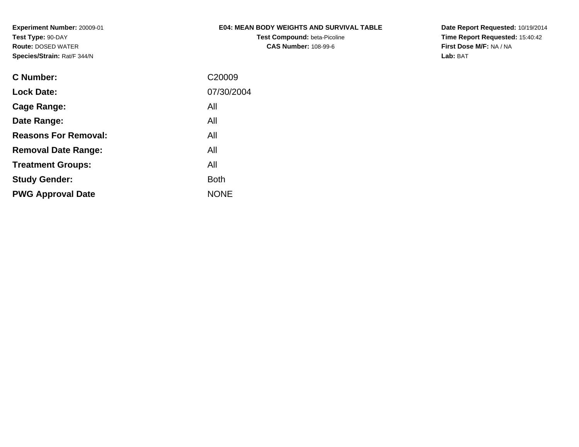# **E04: MEAN BODY WEIGHTS AND SURVIVAL TABLE**

**Test Compound:** beta-Picoline**CAS Number:** 108-99-6

**Date Report Requested:** 10/19/2014 **Time Report Requested:** 15:40:42**First Dose M/F:** NA / NA**Lab:** BAT

| C <sub>20009</sub> |
|--------------------|
| 07/30/2004         |
| All                |
| All                |
| All                |
| All                |
| All                |
| <b>Both</b>        |
| <b>NONE</b>        |
|                    |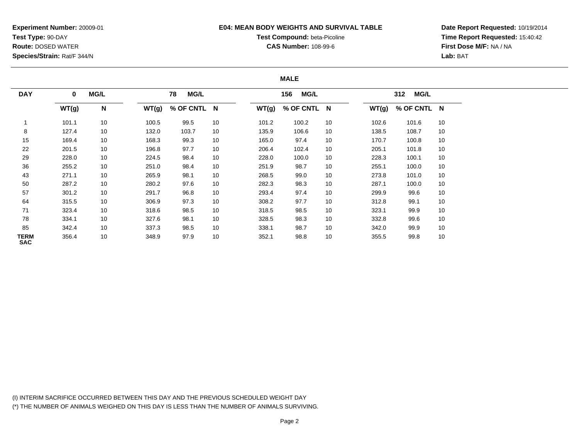## **E04: MEAN BODY WEIGHTS AND SURVIVAL TABLE**

# **Test Compound:** beta-Picoline

**CAS Number:** 108-99-6

**Date Report Requested:** 10/19/2014**Time Report Requested:** 15:40:42**First Dose M/F:** NA / NA**Lab:** BAT

## **MALE**

| <b>DAY</b>         | 0     |    | <b>MG/L</b><br>MG/L<br>78 |             |    |       | <b>MG/L</b><br>156 |    |       | <b>MG/L</b><br>312 |    |  |
|--------------------|-------|----|---------------------------|-------------|----|-------|--------------------|----|-------|--------------------|----|--|
|                    | WT(g) | N  | WT(g)                     | % OF CNTL N |    | WT(g) | % OF CNTL N        |    | WT(g) | % OF CNTL N        |    |  |
|                    | 101.1 | 10 | 100.5                     | 99.5        | 10 | 101.2 | 100.2              | 10 | 102.6 | 101.6              | 10 |  |
| 8                  | 127.4 | 10 | 132.0                     | 103.7       | 10 | 135.9 | 106.6              | 10 | 138.5 | 108.7              | 10 |  |
| 15                 | 169.4 | 10 | 168.3                     | 99.3        | 10 | 165.0 | 97.4               | 10 | 170.7 | 100.8              | 10 |  |
| 22                 | 201.5 | 10 | 196.8                     | 97.7        | 10 | 206.4 | 102.4              | 10 | 205.1 | 101.8              | 10 |  |
| 29                 | 228.0 | 10 | 224.5                     | 98.4        | 10 | 228.0 | 100.0              | 10 | 228.3 | 100.1              | 10 |  |
| 36                 | 255.2 | 10 | 251.0                     | 98.4        | 10 | 251.9 | 98.7               | 10 | 255.1 | 100.0              | 10 |  |
| 43                 | 271.1 | 10 | 265.9                     | 98.1        | 10 | 268.5 | 99.0               | 10 | 273.8 | 101.0              | 10 |  |
| 50                 | 287.2 | 10 | 280.2                     | 97.6        | 10 | 282.3 | 98.3               | 10 | 287.1 | 100.0              | 10 |  |
| 57                 | 301.2 | 10 | 291.7                     | 96.8        | 10 | 293.4 | 97.4               | 10 | 299.9 | 99.6               | 10 |  |
| 64                 | 315.5 | 10 | 306.9                     | 97.3        | 10 | 308.2 | 97.7               | 10 | 312.8 | 99.1               | 10 |  |
| 71                 | 323.4 | 10 | 318.6                     | 98.5        | 10 | 318.5 | 98.5               | 10 | 323.1 | 99.9               | 10 |  |
| 78                 | 334.1 | 10 | 327.6                     | 98.1        | 10 | 328.5 | 98.3               | 10 | 332.8 | 99.6               | 10 |  |
| 85                 | 342.4 | 10 | 337.3                     | 98.5        | 10 | 338.1 | 98.7               | 10 | 342.0 | 99.9               | 10 |  |
| TERM<br><b>SAC</b> | 356.4 | 10 | 348.9                     | 97.9        | 10 | 352.1 | 98.8               | 10 | 355.5 | 99.8               | 10 |  |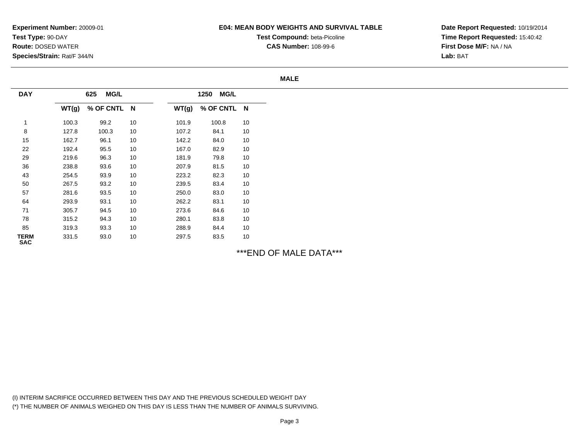### **E04: MEAN BODY WEIGHTS AND SURVIVAL TABLE**

**Test Compound:** beta-Picoline

**CAS Number:** 108-99-6

**Date Report Requested:** 10/19/2014**Time Report Requested:** 15:40:42**First Dose M/F:** NA / NA**Lab:** BAT

#### **MALE**

| <b>DAY</b>                | <b>MG/L</b><br>625 |             |    | <b>MG/L</b><br>1250 |             |    |
|---------------------------|--------------------|-------------|----|---------------------|-------------|----|
|                           | WT(g)              | % OF CNTL N |    | WT(g)               | % OF CNTL N |    |
|                           | 100.3              | 99.2        | 10 | 101.9               | 100.8       | 10 |
| 8                         | 127.8              | 100.3       | 10 | 107.2               | 84.1        | 10 |
| 15                        | 162.7              | 96.1        | 10 | 142.2               | 84.0        | 10 |
| 22                        | 192.4              | 95.5        | 10 | 167.0               | 82.9        | 10 |
| 29                        | 219.6              | 96.3        | 10 | 181.9               | 79.8        | 10 |
| 36                        | 238.8              | 93.6        | 10 | 207.9               | 81.5        | 10 |
| 43                        | 254.5              | 93.9        | 10 | 223.2               | 82.3        | 10 |
| 50                        | 267.5              | 93.2        | 10 | 239.5               | 83.4        | 10 |
| 57                        | 281.6              | 93.5        | 10 | 250.0               | 83.0        | 10 |
| 64                        | 293.9              | 93.1        | 10 | 262.2               | 83.1        | 10 |
| 71                        | 305.7              | 94.5        | 10 | 273.6               | 84.6        | 10 |
| 78                        | 315.2              | 94.3        | 10 | 280.1               | 83.8        | 10 |
| 85                        | 319.3              | 93.3        | 10 | 288.9               | 84.4        | 10 |
| <b>TERM</b><br><b>SAC</b> | 331.5              | 93.0        | 10 | 297.5               | 83.5        | 10 |

\*\*\*END OF MALE DATA\*\*\*

(I) INTERIM SACRIFICE OCCURRED BETWEEN THIS DAY AND THE PREVIOUS SCHEDULED WEIGHT DAY(\*) THE NUMBER OF ANIMALS WEIGHED ON THIS DAY IS LESS THAN THE NUMBER OF ANIMALS SURVIVING.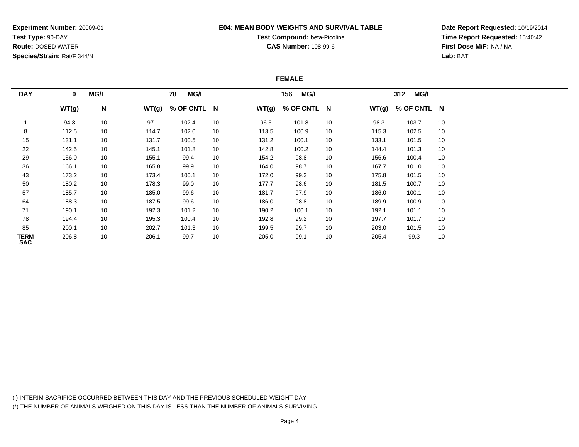## **E04: MEAN BODY WEIGHTS AND SURVIVAL TABLE**

# **Test Compound:** beta-Picoline**CAS Number:** 108-99-6

**Date Report Requested:** 10/19/2014**Time Report Requested:** 15:40:42**First Dose M/F:** NA / NA**Lab:** BAT

#### **FEMALE**

|                    |          | <b>MG/L</b> |       |                   |    |       |                    |    |       |                    |    |
|--------------------|----------|-------------|-------|-------------------|----|-------|--------------------|----|-------|--------------------|----|
| <b>DAY</b>         | $\bf{0}$ |             |       | <b>MG/L</b><br>78 |    |       | <b>MG/L</b><br>156 |    |       | <b>MG/L</b><br>312 |    |
|                    | WT(g)    | N           | WT(g) | % OF CNTL N       |    | WT(g) | % OF CNTL N        |    | WT(g) | % OF CNTL N        |    |
|                    | 94.8     | 10          | 97.1  | 102.4             | 10 | 96.5  | 101.8              | 10 | 98.3  | 103.7              | 10 |
| 8                  | 112.5    | 10          | 114.7 | 102.0             | 10 | 113.5 | 100.9              | 10 | 115.3 | 102.5              | 10 |
| 15                 | 131.1    | 10          | 131.7 | 100.5             | 10 | 131.2 | 100.1              | 10 | 133.1 | 101.5              | 10 |
| 22                 | 142.5    | 10          | 145.1 | 101.8             | 10 | 142.8 | 100.2              | 10 | 144.4 | 101.3              | 10 |
| 29                 | 156.0    | 10          | 155.1 | 99.4              | 10 | 154.2 | 98.8               | 10 | 156.6 | 100.4              | 10 |
| 36                 | 166.1    | 10          | 165.8 | 99.9              | 10 | 164.0 | 98.7               | 10 | 167.7 | 101.0              | 10 |
| 43                 | 173.2    | 10          | 173.4 | 100.1             | 10 | 172.0 | 99.3               | 10 | 175.8 | 101.5              | 10 |
| 50                 | 180.2    | 10          | 178.3 | 99.0              | 10 | 177.7 | 98.6               | 10 | 181.5 | 100.7              | 10 |
| 57                 | 185.7    | 10          | 185.0 | 99.6              | 10 | 181.7 | 97.9               | 10 | 186.0 | 100.1              | 10 |
| 64                 | 188.3    | 10          | 187.5 | 99.6              | 10 | 186.0 | 98.8               | 10 | 189.9 | 100.9              | 10 |
| 71                 | 190.1    | 10          | 192.3 | 101.2             | 10 | 190.2 | 100.1              | 10 | 192.1 | 101.1              | 10 |
| 78                 | 194.4    | 10          | 195.3 | 100.4             | 10 | 192.8 | 99.2               | 10 | 197.7 | 101.7              | 10 |
| 85                 | 200.1    | 10          | 202.7 | 101.3             | 10 | 199.5 | 99.7               | 10 | 203.0 | 101.5              | 10 |
| TERM<br><b>SAC</b> | 206.8    | 10          | 206.1 | 99.7              | 10 | 205.0 | 99.1               | 10 | 205.4 | 99.3               | 10 |

(I) INTERIM SACRIFICE OCCURRED BETWEEN THIS DAY AND THE PREVIOUS SCHEDULED WEIGHT DAY(\*) THE NUMBER OF ANIMALS WEIGHED ON THIS DAY IS LESS THAN THE NUMBER OF ANIMALS SURVIVING.